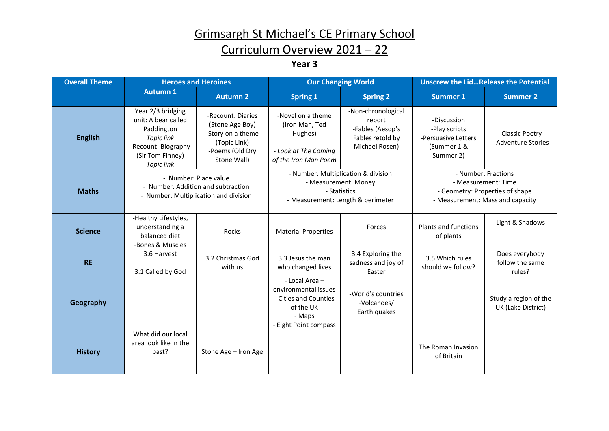## Grimsargh St Michael's CE Primary School

## Curriculum Overview 2021 – 22

**Year 3**

| <b>Overall Theme</b> | <b>Heroes and Heroines</b>                                                                                                                  |                                                                                                             | <b>Our Changing World</b>                                                                                        |                                                                                        | <b>Unscrew the LidRelease the Potential</b>                                                                       |                                             |
|----------------------|---------------------------------------------------------------------------------------------------------------------------------------------|-------------------------------------------------------------------------------------------------------------|------------------------------------------------------------------------------------------------------------------|----------------------------------------------------------------------------------------|-------------------------------------------------------------------------------------------------------------------|---------------------------------------------|
|                      | <b>Autumn 1</b>                                                                                                                             | <b>Autumn 2</b>                                                                                             | <b>Spring 1</b>                                                                                                  | <b>Spring 2</b>                                                                        | <b>Summer 1</b>                                                                                                   | <b>Summer 2</b>                             |
| <b>English</b>       | Year 2/3 bridging<br>unit: A bear called<br>Paddington<br><b>Topic link</b><br>-Recount: Biography<br>(Sir Tom Finney)<br><b>Topic link</b> | -Recount: Diaries<br>(Stone Age Boy)<br>-Story on a theme<br>(Topic Link)<br>-Poems (Old Dry<br>Stone Wall) | -Novel on a theme<br>(Iron Man, Ted<br>Hughes)<br>- Look at The Coming<br>of the Iron Man Poem                   | -Non-chronological<br>report<br>-Fables (Aesop's<br>Fables retold by<br>Michael Rosen) | -Discussion<br>-Play scripts<br>-Persuasive Letters<br>(Summer 1 &<br>Summer 2)                                   | -Classic Poetry<br>- Adventure Stories      |
| <b>Maths</b>         | - Number: Place value<br>- Number: Addition and subtraction<br>- Number: Multiplication and division                                        |                                                                                                             | - Number: Multiplication & division<br>- Measurement: Money<br>- Statistics<br>- Measurement: Length & perimeter |                                                                                        | - Number: Fractions<br>- Measurement: Time<br>- Geometry: Properties of shape<br>- Measurement: Mass and capacity |                                             |
| <b>Science</b>       | -Healthy Lifestyles,<br>understanding a<br>balanced diet<br>-Bones & Muscles                                                                | Rocks                                                                                                       | <b>Material Properties</b>                                                                                       | Forces                                                                                 | Plants and functions<br>of plants                                                                                 | Light & Shadows                             |
| <b>RE</b>            | 3.6 Harvest<br>3.1 Called by God                                                                                                            | 3.2 Christmas God<br>with us                                                                                | 3.3 Jesus the man<br>who changed lives                                                                           | 3.4 Exploring the<br>sadness and joy of<br>Easter                                      | 3.5 Which rules<br>should we follow?                                                                              | Does everybody<br>follow the same<br>rules? |
| Geography            |                                                                                                                                             |                                                                                                             | - Local Area -<br>environmental issues<br>- Cities and Counties<br>of the UK<br>- Maps<br>- Eight Point compass  | -World's countries<br>-Volcanoes/<br>Earth quakes                                      |                                                                                                                   | Study a region of the<br>UK (Lake District) |
| <b>History</b>       | What did our local<br>area look like in the<br>past?                                                                                        | Stone Age - Iron Age                                                                                        |                                                                                                                  |                                                                                        | The Roman Invasion<br>of Britain                                                                                  |                                             |